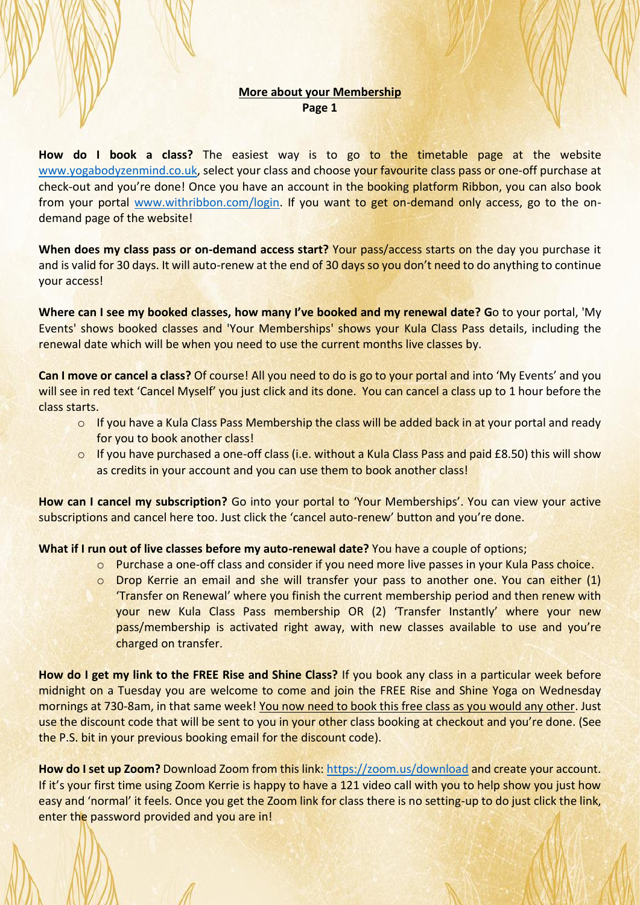## **More about your Membership Page 1**

**How do I book a class?** The easiest way is to go to the timetable page at the website [www.yogabodyzenmind.co.uk,](http://www.yogabodyzenmind.co.uk/) select your class and choose your favourite class pass or one-off purchase at check-out and you're done! Once you have an account in the booking platform Ribbon, you can also book from your portal [www.withribbon.com/login.](http://www.withribbon.com/login) If you want to get on-demand only access, go to the ondemand page of the website!

**When does my class pass or on-demand access start?** Your pass/access starts on the day you purchase it and is valid for 30 days. It will auto-renew at the end of 30 days so you don't need to do anything to continue your access!

**Where can I see my booked classes, how many I've booked and my renewal date? G**o to your portal, 'My Events' shows booked classes and 'Your Memberships' shows your Kula Class Pass details, including the renewal date which will be when you need to use the current months live classes by.

**Can I move or cancel a class?** Of course! All you need to do is go to your portal and into 'My Events' and you will see in red text 'Cancel Myself' you just click and its done. You can cancel a class up to 1 hour before the class starts.

- $\circ$  If you have a Kula Class Pass Membership the class will be added back in at your portal and ready for you to book another class!
- o If you have purchased a one-off class (i.e. without a Kula Class Pass and paid £8.50) this will show as credits in your account and you can use them to book another class!

**How can I cancel my subscription?** Go into your portal to 'Your Memberships'. You can view your active subscriptions and cancel here too. Just click the 'cancel auto-renew' button and you're done.

**What if I run out of live classes before my auto-renewal date?** You have a couple of options;

- o Purchase a one-off class and consider if you need more live passes in your Kula Pass choice.
- $\circ$  Drop Kerrie an email and she will transfer your pass to another one. You can either (1) 'Transfer on Renewal' where you finish the current membership period and then renew with your new Kula Class Pass membership OR (2) 'Transfer Instantly' where your new pass/membership is activated right away, with new classes available to use and you're charged on transfer.

**How do I get my link to the FREE Rise and Shine Class?** If you book any class in a particular week before midnight on a Tuesday you are welcome to come and join the FREE Rise and Shine Yoga on Wednesday mornings at 730-8am, in that same week! You now need to book this free class as you would any other. Just use the discount code that will be sent to you in your other class booking at checkout and you're done. (See the P.S. bit in your previous booking email for the discount code).

**How do I set up Zoom?** Download Zoom from this link:<https://zoom.us/download> and create your account. If it's your first time using Zoom Kerrie is happy to have a 121 video call with you to help show you just how easy and 'normal' it feels. Once you get the Zoom link for class there is no setting-up to do just click the link, enter the password provided and you are in!